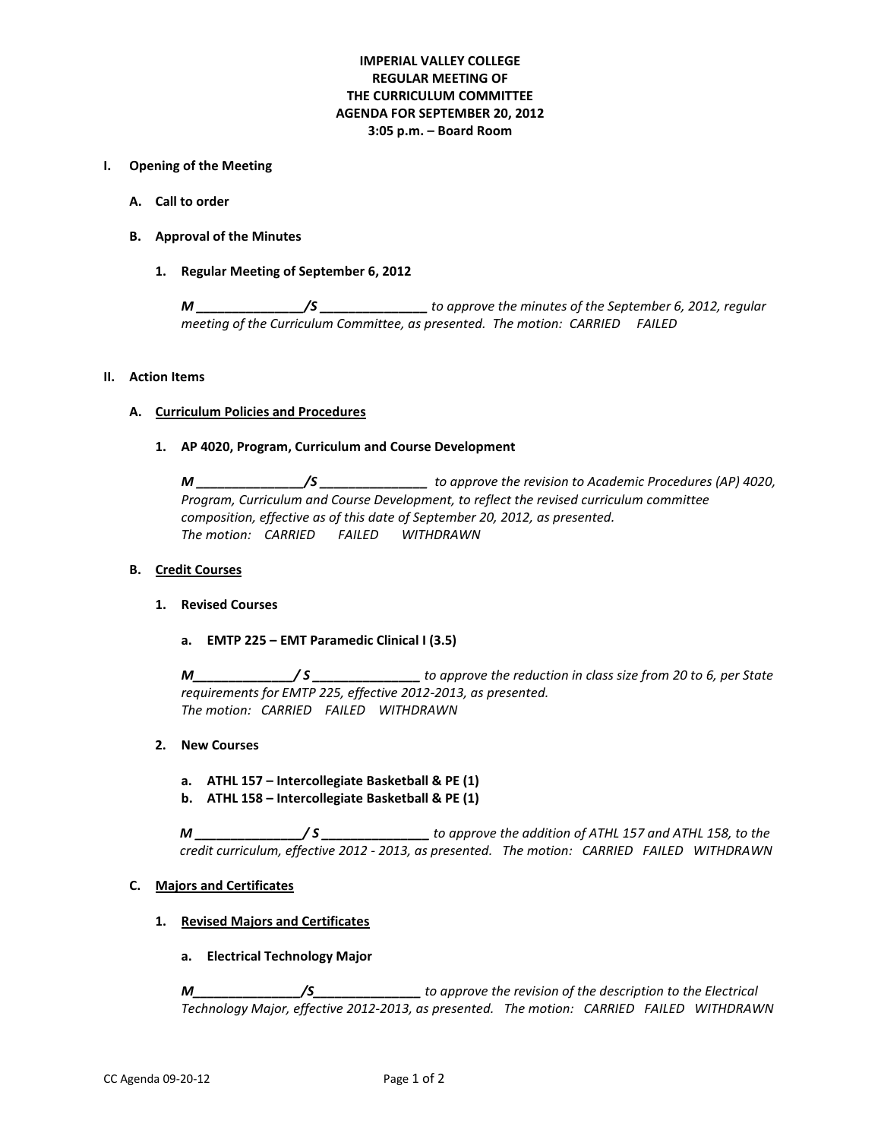# **IMPERIAL VALLEY COLLEGE REGULAR MEETING OF THE CURRICULUM COMMITTEE AGENDA FOR SEPTEMBER 20, 2012 3:05 p.m. – Board Room**

### **I. Opening of the Meeting**

- **A. Call to order**
- **B. Approval of the Minutes**
	- **1. Regular Meeting of September 6, 2012**

*M \_\_\_\_\_\_\_\_\_\_\_\_\_\_\_/S \_\_\_\_\_\_\_\_\_\_\_\_\_\_\_ to approve the minutes of the September 6, 2012, regular meeting of the Curriculum Committee, as presented. The motion: CARRIED FAILED* 

### **II. Action Items**

# **A. Curriculum Policies and Procedures**

### **1. AP 4020, Program, Curriculum and Course Development**

*M \_\_\_\_\_\_\_\_\_\_\_\_\_\_\_/S \_\_\_\_\_\_\_\_\_\_\_\_\_\_\_ to approve the revision to Academic Procedures (AP) 4020, Program, Curriculum and Course Development, to reflect the revised curriculum committee composition, effective as of this date of September 20, 2012, as presented. The motion: CARRIED FAILED WITHDRAWN*

# **B. Credit Courses**

- **1. Revised Courses**
	- **a. EMTP 225 – EMT Paramedic Clinical I (3.5)**

*M\_\_\_\_\_\_\_\_\_\_\_\_\_\_/ S \_\_\_\_\_\_\_\_\_\_\_\_\_\_\_ to approve the reduction in class size from 20 to 6, per State requirements for EMTP 225, effective 2012-2013, as presented. The motion: CARRIED FAILED WITHDRAWN*

## **2. New Courses**

- **a. ATHL 157 – Intercollegiate Basketball & PE (1)**
- **b. ATHL 158 – Intercollegiate Basketball & PE (1)**

*M \_\_\_\_\_\_\_\_\_\_\_\_\_\_\_/ S \_\_\_\_\_\_\_\_\_\_\_\_\_\_\_ to approve the addition of ATHL 157 and ATHL 158, to the credit curriculum, effective 2012 - 2013, as presented. The motion: CARRIED FAILED WITHDRAWN*

# **C. Majors and Certificates**

### **1. Revised Majors and Certificates**

**a. Electrical Technology Major**

*M\_\_\_\_\_\_\_\_\_\_\_\_\_\_\_/S\_\_\_\_\_\_\_\_\_\_\_\_\_\_\_ to approve the revision of the description to the Electrical Technology Major, effective 2012-2013, as presented. The motion: CARRIED FAILED WITHDRAWN*